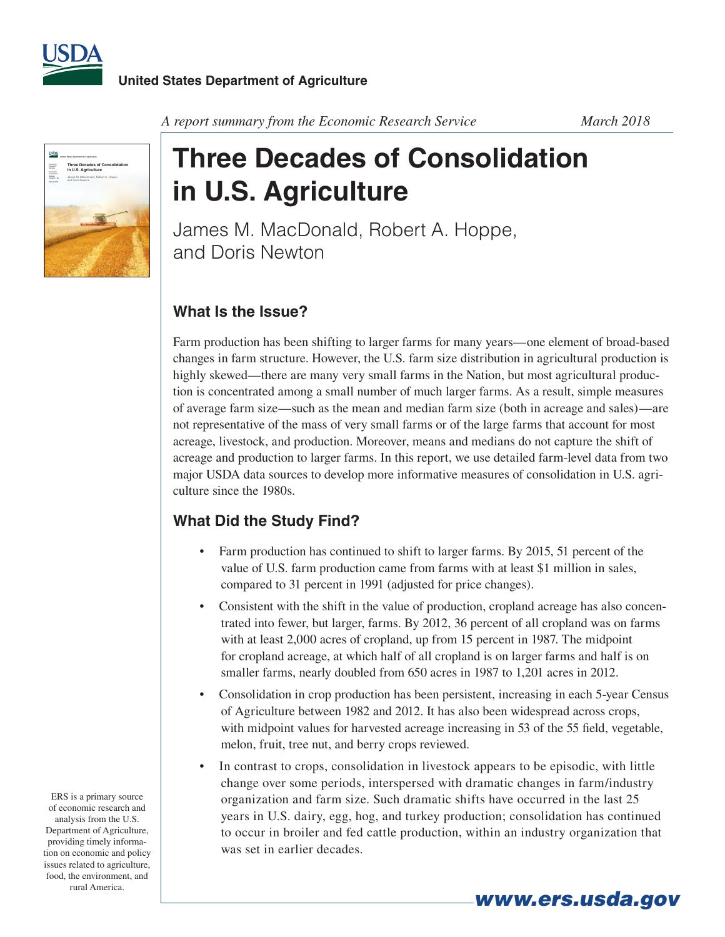



*A report summary from the Economic Research Service March 2018*

## **Three Decades of Consolidation in U.S. Agriculture**

James M. MacDonald, Robert A. Hoppe, and Doris Newton

## **What Is the Issue?**

Farm production has been shifting to larger farms for many years—one element of broad-based changes in farm structure. However, the U.S. farm size distribution in agricultural production is highly skewed—there are many very small farms in the Nation, but most agricultural production is concentrated among a small number of much larger farms. As a result, simple measures of average farm size—such as the mean and median farm size (both in acreage and sales)—are not representative of the mass of very small farms or of the large farms that account for most acreage, livestock, and production. Moreover, means and medians do not capture the shift of acreage and production to larger farms. In this report, we use detailed farm-level data from two major USDA data sources to develop more informative measures of consolidation in U.S. agriculture since the 1980s.

## **What Did the Study Find?**

- Farm production has continued to shift to larger farms. By 2015, 51 percent of the value of U.S. farm production came from farms with at least \$1 million in sales, compared to 31 percent in 1991 (adjusted for price changes).
- Consistent with the shift in the value of production, cropland acreage has also concentrated into fewer, but larger, farms. By 2012, 36 percent of all cropland was on farms with at least 2,000 acres of cropland, up from 15 percent in 1987. The midpoint for cropland acreage, at which half of all cropland is on larger farms and half is on smaller farms, nearly doubled from 650 acres in 1987 to 1,201 acres in 2012.
- Consolidation in crop production has been persistent, increasing in each 5-year Census of Agriculture between 1982 and 2012. It has also been widespread across crops, with midpoint values for harvested acreage increasing in 53 of the 55 field, vegetable, melon, fruit, tree nut, and berry crops reviewed.
- In contrast to crops, consolidation in livestock appears to be episodic, with little change over some periods, interspersed with dramatic changes in farm/industry organization and farm size. Such dramatic shifts have occurred in the last 25 years in U.S. dairy, egg, hog, and turkey production; consolidation has continued to occur in broiler and fed cattle production, within an industry organization that was set in earlier decades.

*www.ers.usda.gov*

ERS is a primary source of economic research and analysis from the U.S. Department of Agriculture, providing timely information on economic and policy issues related to agriculture, food, the environment, and rural America.